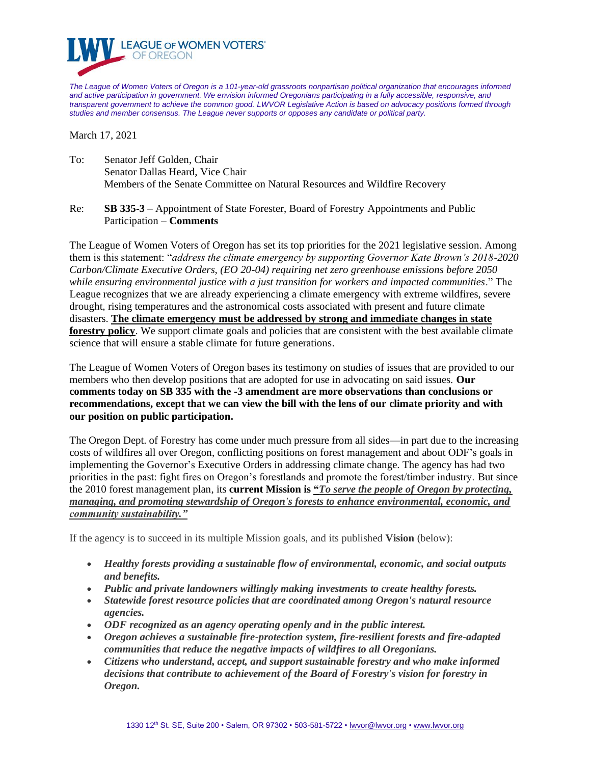

*The League of Women Voters of Oregon is a 101-year-old grassroots nonpartisan political organization that encourages informed and active participation in government. We envision informed Oregonians participating in a fully accessible, responsive, and transparent government to achieve the common good. LWVOR Legislative Action is based on advocacy positions formed through studies and member consensus. The League never supports or opposes any candidate or political party.*

March 17, 2021

- To: Senator Jeff Golden, Chair Senator Dallas Heard, Vice Chair Members of the Senate Committee on Natural Resources and Wildfire Recovery
- Re: **SB 335-3** Appointment of State Forester, Board of Forestry Appointments and Public Participation – **Comments**

The League of Women Voters of Oregon has set its top priorities for the 2021 legislative session. Among them is this statement: "*address the climate emergency by supporting Governor Kate Brown's 2018-2020 Carbon/Climate Executive Orders, (EO 20-04) requiring net zero greenhouse emissions before 2050 while ensuring environmental justice with a just transition for workers and impacted communities*." The League recognizes that we are already experiencing a climate emergency with extreme wildfires, severe drought, rising temperatures and the astronomical costs associated with present and future climate disasters. **The climate emergency must be addressed by strong and immediate changes in state forestry policy**. We support climate goals and policies that are consistent with the best available climate science that will ensure a stable climate for future generations.

The League of Women Voters of Oregon bases its testimony on studies of issues that are provided to our members who then develop positions that are adopted for use in advocating on said issues. **Our comments today on SB 335 with the -3 amendment are more observations than conclusions or recommendations, except that we can view the bill with the lens of our climate priority and with our position on public participation.** 

The Oregon Dept. of Forestry has come under much pressure from all sides—in part due to the increasing costs of wildfires all over Oregon, conflicting positions on forest management and about ODF's goals in implementing the Governor's Executive Orders in addressing climate change. The agency has had two priorities in the past: fight fires on Oregon's forestlands and promote the forest/timber industry. But since the 2010 forest management plan, its **current Mission is "***To serve the people of Oregon by protecting, managing, and promoting stewardship of Oregon's forests to enhance environmental, economic, and community sustainability."*

If the agency is to succeed in its multiple Mission goals, and its published **Vision** (below):

- *Healthy forests providing a sustainable flow of environmental, economic, and social outputs and benefits.*
- *Public and private landowners willingly making investments to create healthy forests.*
- *Statewide forest resource policies that are coordinated among Oregon's natural resource agencies.*
- *ODF recognized as an agency operating openly and in the public interest.*
- *Oregon achieves a sustainable fire-protection system, fire-resilient forests and fire-adapted communities that reduce the negative impacts of wildfires to all Oregonians.*
- *Citizens who understand, accept, and support sustainable forestry and who make informed decisions that contribute to achievement of the Board of Forestry's vision for forestry in Oregon.*